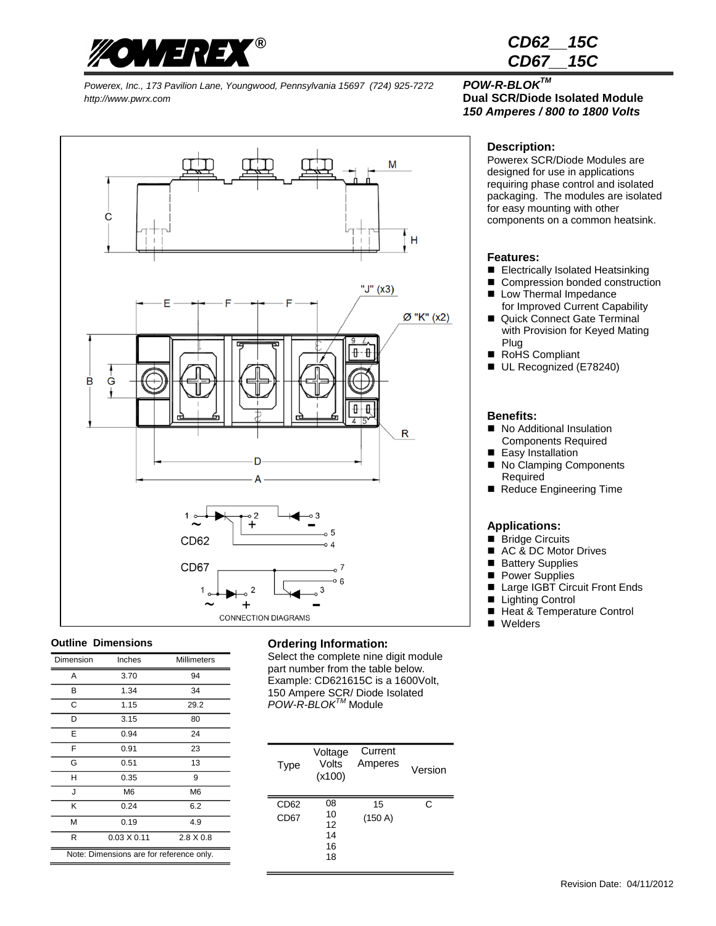

*CD62\_\_15C CD67\_\_15C*

*Powerex, Inc., 173 Pavilion Lane, Youngwood, Pennsylvania 15697 (724) 925-7272 POW-R-BLOKTM http://www.pwrx.com* **Dual SCR/Diode Isolated Module**



#### **Outline Dimensions**

| Dimension                                | Inches             | Millimeters      |  |
|------------------------------------------|--------------------|------------------|--|
| Α                                        | 3.70               | 94               |  |
| В                                        | 1.34               | 34               |  |
| C                                        | 1.15               | 29.2             |  |
| D                                        | 3.15               | 80               |  |
| E                                        | 0.94               | 24               |  |
| F                                        | 0.91               | 23               |  |
| G                                        | 0.51               | 13               |  |
| н                                        | 0.35               | 9                |  |
| J                                        | M <sub>6</sub>     | M <sub>6</sub>   |  |
| κ                                        | 0.24               | 6.2              |  |
| м                                        | 0.19               | 4.9              |  |
| R                                        | $0.03 \times 0.11$ | $2.8 \times 0.8$ |  |
| Note: Dimensions are for reference only. |                    |                  |  |

### **Ordering Information**:

Select the complete nine digit module part number from the table below. Example: CD621615C is a 1600Volt, 150 Ampere SCR/ Diode Isolated *POW-R-BLOKTM* Module

| <b>Type</b>                          | Voltage<br>Volts<br>(x100)       | Current<br>Amperes | Version |
|--------------------------------------|----------------------------------|--------------------|---------|
| CD <sub>62</sub><br>CD <sub>67</sub> | 08<br>10<br>12<br>14<br>16<br>18 | 15<br>(150 A)      | C       |

# *150 Amperes / 800 to 1800 Volts*

#### **Description:**

Powerex SCR/Diode Modules are designed for use in applications requiring phase control and isolated packaging. The modules are isolated for easy mounting with other components on a common heatsink.

#### **Features:**

- Electrically Isolated Heatsinking
- Compression bonded construction
- Low Thermal Impedance for Improved Current Capability
- Quick Connect Gate Terminal with Provision for Keyed Mating Plug
- RoHS Compliant
- UL Recognized (E78240)

#### **Benefits:**

- No Additional Insulation Components Required
- Easy Installation
- No Clamping Components Required
- Reduce Engineering Time

#### **Applications:**

- Bridge Circuits
- AC & DC Motor Drives
- **Battery Supplies**
- **Power Supplies**
- Large IGBT Circuit Front Ends<br>■ Liahtina Control
- Lighting Control
- Heat & Temperature Control
- Welders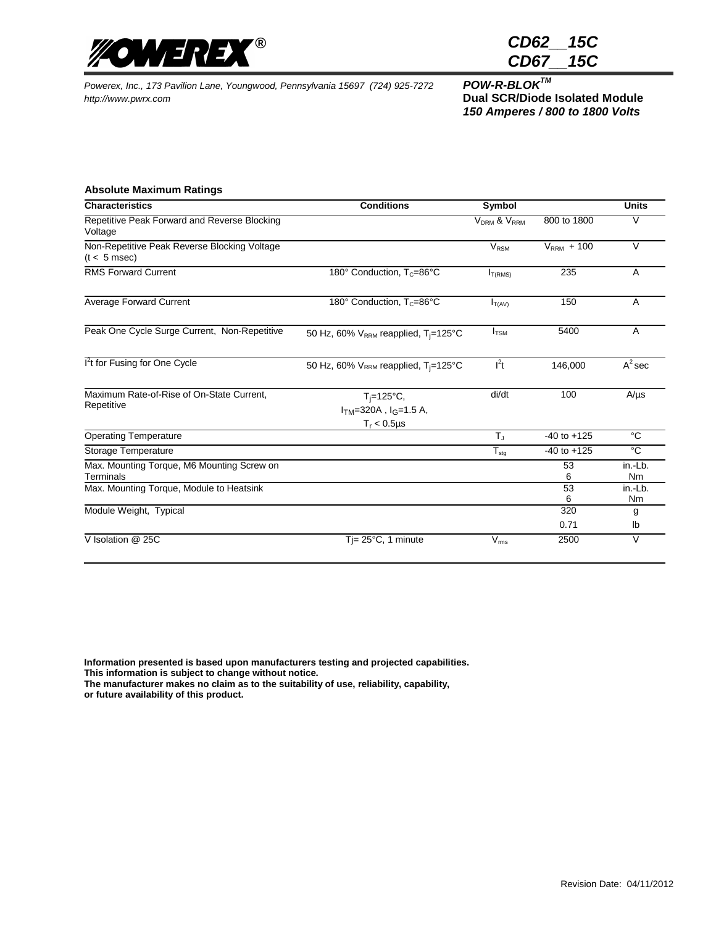

*CD62\_\_15C CD67\_\_15C*

*Powerex, Inc., 173 Pavilion Lane, Youngwood, Pennsylvania 15697 (724) 925-7272 POW-R-BLOKTM http://www.pwrx.com* **Dual SCR/Diode Isolated Module**

*150 Amperes / 800 to 1800 Volts*

#### **Absolute Maximum Ratings**

| <b>Characteristics</b>                                                                              | <b>Conditions</b>                                                 | Symbol                              |                 | <b>Units</b>             |
|-----------------------------------------------------------------------------------------------------|-------------------------------------------------------------------|-------------------------------------|-----------------|--------------------------|
| Repetitive Peak Forward and Reverse Blocking<br>Voltage                                             |                                                                   | V <sub>DRM</sub> & V <sub>RRM</sub> | 800 to 1800     | $\vee$                   |
| Non-Repetitive Peak Reverse Blocking Voltage<br>$(t < 5$ msec)                                      |                                                                   | $V_{\text{RSM}}$                    | $VRRM + 100$    | $\vee$                   |
| <b>RMS Forward Current</b>                                                                          | 180° Conduction, T <sub>c</sub> =86°C                             | I <sub>T(RMS)</sub>                 | 235             | A                        |
| <b>Average Forward Current</b>                                                                      | 180° Conduction, T <sub>c</sub> =86°C                             | $I_{T(AV)}$                         | 150             | A                        |
| Peak One Cycle Surge Current, Non-Repetitive                                                        | 50 Hz, 60% V <sub>RRM</sub> reapplied, T <sub>i</sub> =125°C      | $I_{\text{TSM}}$                    | 5400            | A                        |
| I <sup>2</sup> t for Fusing for One Cycle                                                           | 50 Hz, 60% $V_{RRM}$ reapplied, $T_i = 125^{\circ}C$              | l <sup>2</sup> t                    | 146,000         | $A^2$ sec                |
| Maximum Rate-of-Rise of On-State Current,<br>Repetitive                                             | $T_i = 125$ °C,<br>$ITM=320A$ , $IG=1.5 A$ ,<br>$T_r < 0.5 \mu s$ | di/dt                               | 100             | $A/\mu s$                |
| <b>Operating Temperature</b>                                                                        |                                                                   | $T_{\rm J}$                         | $-40$ to $+125$ | °C                       |
| Storage Temperature                                                                                 |                                                                   | $T_{\text{stg}}$                    | $-40$ to $+125$ | $\overline{c}$           |
| Max. Mounting Torque, M6 Mounting Screw on<br>Terminals<br>Max. Mounting Torque, Module to Heatsink |                                                                   |                                     | 53<br>6<br>53   | in.-Lb.<br>Nm<br>in.-Lb. |
|                                                                                                     |                                                                   |                                     | 6               | Nm                       |
| Module Weight, Typical                                                                              |                                                                   |                                     | 320             | g                        |
|                                                                                                     |                                                                   |                                     | 0.71            | lb                       |
| V Isolation @ 25C                                                                                   | $Ti=25^{\circ}C$ , 1 minute                                       | $V_{\rm rms}$                       | 2500            | V                        |

**Information presented is based upon manufacturers testing and projected capabilities. This information is subject to change without notice. The manufacturer makes no claim as to the suitability of use, reliability, capability,** 

**or future availability of this product.**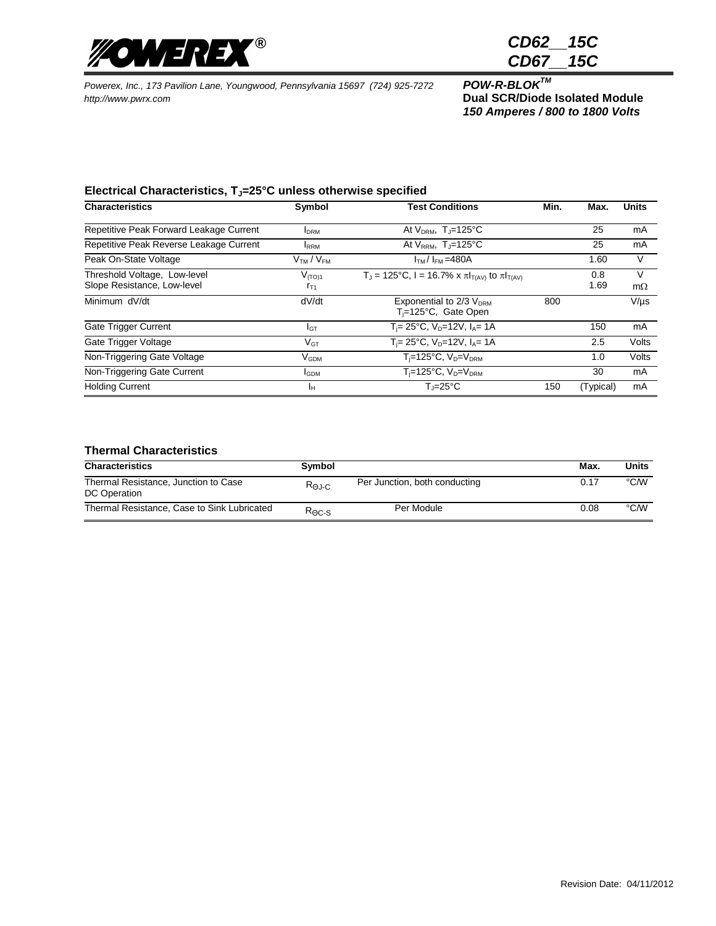

*CD62\_\_15C CD67\_\_15C*

*Powerex, Inc., 173 Pavilion Lane, Youngwood, Pennsylvania 15697 (724) 925-7272 POW-R-BLOKTM http://www.pwrx.com* **Dual SCR/Diode Isolated Module**

*150 Amperes / 800 to 1800 Volts*

## **Electrical Characteristics, TJ=25°C unless otherwise specified**

| <b>Characteristics</b>                                      | Symbol                            | <b>Test Conditions</b>                                           | Min. | Max.        | <b>Units</b>   |
|-------------------------------------------------------------|-----------------------------------|------------------------------------------------------------------|------|-------------|----------------|
| Repetitive Peak Forward Leakage Current                     | <b>I</b> DRM                      | At $V_{DRM}$ , T <sub>J</sub> =125°C                             |      | 25          | mA             |
| Repetitive Peak Reverse Leakage Current                     | <b>IRRM</b>                       | At $V_{RRM}$ , T <sub>J</sub> =125°C                             |      | 25          | mA             |
| Peak On-State Voltage                                       | V <sub>TM</sub> / V <sub>FM</sub> | $ITM/IFM=480A$                                                   |      | 1.60        | V              |
| Threshold Voltage, Low-level<br>Slope Resistance, Low-level | $V_{(TO)1}$<br>$r_{T1}$           | $T_J$ = 125°C, I = 16.7% x π $I_{T(AV)}$ to π $I_{T(AV)}$        |      | 0.8<br>1.69 | V<br>$m\Omega$ |
| Minimum dV/dt                                               | dV/dt                             | Exponential to 2/3 V <sub>DRM</sub><br>$T_i = 125$ °C, Gate Open | 800  |             | $V/\mu s$      |
| Gate Trigger Current                                        | IGТ                               | $T_i = 25^{\circ}C$ , $V_D = 12V$ , $I_A = 1A$                   |      | 150         | mA             |
| Gate Trigger Voltage                                        | $V_{GT}$                          | $T_i = 25^{\circ}C$ , $V_{D} = 12V$ , $I_{A} = 1A$               |      | 2.5         | Volts          |
| Non-Triggering Gate Voltage                                 | $V_{GDM}$                         | $T_i$ =125°C, $V_D$ = $V_{DRM}$                                  |      | 1.0         | Volts          |
| Non-Triggering Gate Current                                 | <b>I</b> GDM                      | $\overline{T_i}$ =125°C, V <sub>D</sub> =V <sub>DRM</sub>        |      | 30          | mA             |
| <b>Holding Current</b>                                      | ١н                                | $T = 25^{\circ}C$                                                | 150  | (Typical)   | mA             |

## **Thermal Characteristics**

| <b>Characteristics</b>                               | Symbol                    |                               | Max. | Units |
|------------------------------------------------------|---------------------------|-------------------------------|------|-------|
| Thermal Resistance, Junction to Case<br>DC Operation | $R_{\Theta J \text{-} C}$ | Per Junction, both conducting | 0.17 | °C⁄W  |
| Thermal Resistance, Case to Sink Lubricated          | $R_{\Theta C-S}$          | Per Module                    | 0.08 | °C/W  |